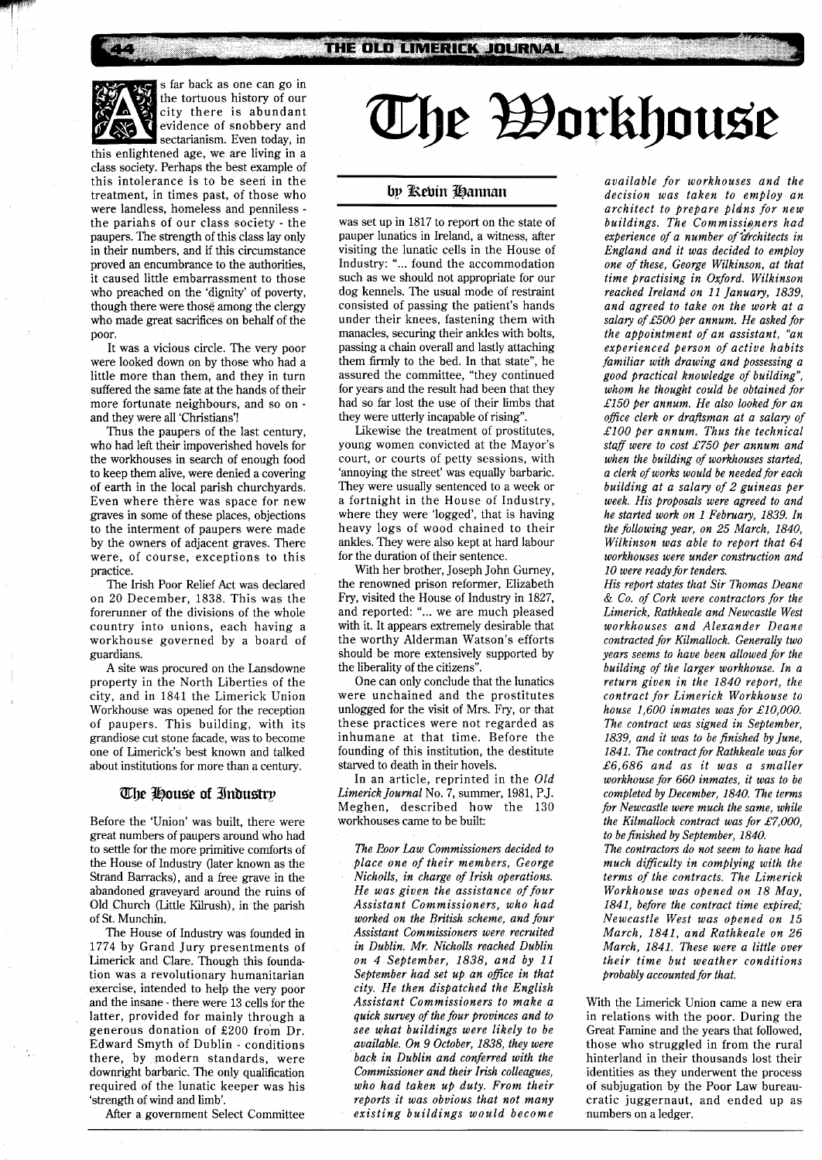s far back as one can go in the tortuous history of our city there is abundant evidence of snobbery and sectarianism. Even today, in

this enlightened age, we are living in a class society. Perhaps the best example of this intolerance is to be seen in the treatment, in times past, of those who were landless, homeless and penniless the pariahs of our class society - the paupers. The strength of this class lay only in their numbers, and if this circumstance proved an encumbrance to the authorities, it caused little embarrassment to those who preached on the 'dignity' of poverty, though there were those among the clergy who made great sacrifices on behalf of the poor.

It was a vicious circle. The very poor were looked down on by those who had a little more than them, and they in turn suffered the same fate at the hands of their more fortunate neighbours, and so on and they were all 'Christians'!

Thus the paupers of the last century, who had left their impoverished hovels for the workhouses in search of enough food to keep them alive, were denied a covering of earth in the local parish churchyards. Even where there was space for new graves in some of these places, objections to the interment of paupers were made by the owners of adjacent graves. There were, of course, exceptions to this practice.

The Irish Poor Relief Act was declared on 20 December, 1838. This was the forerunner of the divisions of the whole country into unions, each having a workhouse governed by a board of guardians.

A site was procured on the Lansdowne property in the North Liberties of the city, and in 1841 the Limerick Union Workhouse was opened for the reception of paupers. This building, with its grandiose cut stone facade, was to become one of Limerick's best known and talked about institutions for more than a century.

#### The House of Industry

Before the 'Union' was built, there were great numbers of paupers around who had to settle for the more primitive comforts of the House of Industry (later known as the Strand Barracks), and a free grave in the abandoned graveyard around the ruins of Old Church (Little Kilrush), in the parish of St. Munchin.

The House of Industry was founded in 1774 by Grand Jury presentments of Limerick and Clare. Though this foundation was a revolutionary humanitarian exercise, intended to help the very poor and the insane - there were 13 cells for the latter, provided for mainly through a generous donation of £200 from Dr. Edward Smyth of Dublin - conditions there, by modern standards, were downright barbaric. The only qualification required of the lunatic keeper was his 'strength of wind and limb'.

After a government Select Committee

# The Borkhouse

## by Rebin Hannan

was set up in 1817 to report on the state of pauper lunatics in Ireland, a witness, after visiting the lunatic cells in the House of Industry: "... found the accommodation such as we should not appropriate for our dog kennels. The usual mode of restraint consisted of passing the patient's hands under their knees, fastening them with manacles, securing their ankles with bolts, passing a chain overall and lastly attaching them firmly to the bed. In that state", he assured the committee, "they continued for years and the result had been that they had so far lost the use of their limbs that they were utterly incapable of rising".

Likewise the treatment of prostitutes, young women convicted at the Mayor's court, or courts of petty sessions, with 'annoying the street' was equally barbaric. They were usually sentenced to a week or a fortnight in the House of Industry, where they were 'logged', that is having heavy logs of wood chained to their ankles. They were also kept at hard labour for the duration of their sentence.

With her brother, Joseph John Gurney, the renowned prison reformer, Elizabeth Fry, visited the House of Industry in 1827, and reported: "... we are much pleased with it. It appears extremely desirable that the worthy Alderman Watson's efforts should be more extensively supported by the liberality of the citizens".

One can only conclude that the lunatics were unchained and the prostitutes unlogged for the visit of Mrs. Fry, or that these practices were not regarded as inhumane at that time. Before the founding of this institution, the destitute starved to death in their hovels.

In an article, reprinted in the *Old Limerick Journal* No. 7, summer, 1981, P.J. Meghen, described how the 130 workhouses came to be built:

*The Roor Law Commissioners decided to place one of their members, George Nicholls, in charge of Irish operations. He was given the assistance of four Assistant Commissioners, who had worked on the British scheme, and four Assistant Commissioners were recruited in Dublin. Mr. Nicholls reached Dublin on 4 September, 1838, and by 11 September had set up an ofice in that city. He then dispatched the English Assistant Commissioners to make a quick survey of the four provinces and to see what buildings were likely to be available. On 9 October, 1838, they were back in Dublin and conferred with the Commissioner and their Irish colleagues, who had taken up duty. From their reports it was obvious that not many existing buildings would become* 

*available for workhouses and the decision was taken to employ an architect to prepare pldns for new buildings. The Commissioners had experience of a number of'tdrchitects in England and it was decided to employ one of these, George Wilkinson, at that time practising in Oxford. Wilkinson reached Ireland on 11 January, 1839, and agreed to take on the work at a*  salary of £500 per annum. He asked for *the appointment of an assistant, "an experienced person of active habits familiar with drawing and possessing a good practical knowledge of building", whom he thought could be obtained for £150 per annum. He also looked for an ofice clerk or draftsman at a salary of £100 per annum. Thus the technical staf were to cost E750 per annum and when the building of workhouses started, a clerk of works would be neededfor each building at a salary of 2 guineas per week. His proposals were agreed to and he started work on 1 February, 1839. In the following year, on 25 March, 1840, Wilkinson was able to report that 64 workhouses were under construction and 10 were ready for tenders.* 

*His report states that Sir Thomas Deane*  & *Co. of Cork were contractors for the Limerick, Rathkeale and Newcastle West workhouses and Alexander Deane contracted for Kilmallock. Generally two years seems to have been allowed for the building of the larger workhouse. In a return given in the 1840 report, the contract for Limerick Workhouse to house 1,600 inmates was for £10,000. The contract was signed in September, 1839, and it was to be finished by June, 1841. The contract for Rathkeale was for £6,686 and as it was a smaller workhouse for 660 inmates, it was to be completed by December, 1840. The terns for Newcastle were much the same, while the Kilmallock contract was for £7,000, to be finished by September, 1840. The contractors do not seem to have had much difficulty in complying with the* 

*terms of the contracts. The Limerick Workhouse was opened on 18 May, 1841, before the contract time expired; Newcastle West was opened on 15 March, 1841, and Rathkeale on 26 March, 1841. These were a little over their time but weather conditions probably accounted for that.* 

With the Limerick Union came a new era in relations with the poor. During the Great Famine and the years that followed, those who struggled in from the rural hinterland in their thousands lost their identities as they underwent the process of subjugation by the Poor Law bureaucratic juggernaut, and ended up as numbers on a ledger.